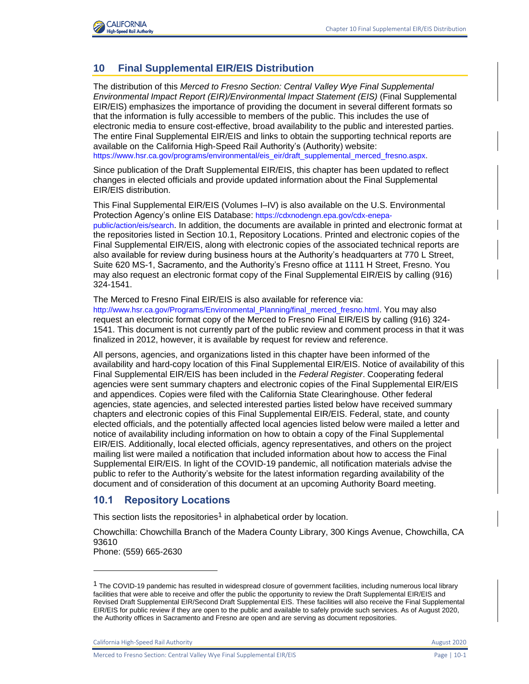

# **10 Final Supplemental EIR/EIS Distribution**

The distribution of this *Merced to Fresno Section: Central Valley Wye Final Supplemental Environmental Impact Report (EIR)/Environmental Impact Statement (EIS)* (Final Supplemental EIR/EIS) emphasizes the importance of providing the document in several different formats so that the information is fully accessible to members of the public. This includes the use of electronic media to ensure cost-effective, broad availability to the public and interested parties. The entire Final Supplemental EIR/EIS and links to obtain the supporting technical reports are available on the California High-Speed Rail Authority's (Authority) website: [https://www.hsr.ca.gov/programs/environmental/eis\\_eir/draft\\_supplemental\\_merced\\_fresno.aspx.](https://www.hsr.ca.gov/programs/environmental/eis_eir/draft_supplemental_merced_fresno.aspx?.)

Since publication of the Draft Supplemental EIR/EIS, this chapter has been updated to reflect changes in elected officials and provide updated information about the Final Supplemental EIR/EIS distribution.

This Final Supplemental EIR/EIS (Volumes I–IV) is also available on the U.S. Environmental Protection Agency's online EIS Database: [https://cdxnodengn.epa.gov/cdx-enepa](https://cdxnodengn.epa.gov/cdx-enepa-public/action/eis/search)[public/action/eis/search](https://cdxnodengn.epa.gov/cdx-enepa-public/action/eis/search). In addition, the documents are available in printed and electronic format at the repositories listed in Section 10.1, Repository Locations. Printed and electronic copies of the Final Supplemental EIR/EIS, along with electronic copies of the associated technical reports are also available for review during business hours at the Authority's headquarters at 770 L Street, Suite 620 MS-1, Sacramento, and the Authority's Fresno office at 1111 H Street, Fresno. You may also request an electronic format copy of the Final Supplemental EIR/EIS by calling (916) 324-1541.

#### The Merced to Fresno Final EIR/EIS is also available for reference via:

[http://www.hsr.ca.gov/Programs/Environmental\\_Planning/final\\_merced\\_fresno.html](http://www.hsr.ca.gov/Programs/Environmental_Planning/final_merced_fresno.html). You may also request an electronic format copy of the Merced to Fresno Final EIR/EIS by calling (916) 324- 1541. This document is not currently part of the public review and comment process in that it was finalized in 2012, however, it is available by request for review and reference.

All persons, agencies, and organizations listed in this chapter have been informed of the availability and hard-copy location of this Final Supplemental EIR/EIS. Notice of availability of this Final Supplemental EIR/EIS has been included in the *Federal Register*. Cooperating federal agencies were sent summary chapters and electronic copies of the Final Supplemental EIR/EIS and appendices. Copies were filed with the California State Clearinghouse. Other federal agencies, state agencies, and selected interested parties listed below have received summary chapters and electronic copies of this Final Supplemental EIR/EIS. Federal, state, and county elected officials, and the potentially affected local agencies listed below were mailed a letter and notice of availability including information on how to obtain a copy of the Final Supplemental EIR/EIS. Additionally, local elected officials, agency representatives, and others on the project mailing list were mailed a notification that included information about how to access the Final Supplemental EIR/EIS. In light of the COVID-19 pandemic, all notification materials advise the public to refer to the Authority's website for the latest information regarding availability of the document and of consideration of this document at an upcoming Authority Board meeting.

## **10.1 Repository Locations**

This section lists the repositories<sup>1</sup> in alphabetical order by location.

Chowchilla: Chowchilla Branch of the Madera County Library, 300 Kings Avenue, Chowchilla, CA 93610

Phone: (559) 665-2630

California High-Speed Rail Authority **August 2020** California High-Speed Rail Authority **August 2020** 

Merced to Fresno Section: Central Valley Wye Final Supplemental EIR/EIS Page | 10-1

 $1$  The COVID-19 pandemic has resulted in widespread closure of government facilities, including numerous local library facilities that were able to receive and offer the public the opportunity to review the Draft Supplemental EIR/EIS and Revised Draft Supplemental EIR/Second Draft Supplemental EIS. These facilities will also receive the Final Supplemental EIR/EIS for public review if they are open to the public and available to safely provide such services. As of August 2020, the Authority offices in Sacramento and Fresno are open and are serving as document repositories.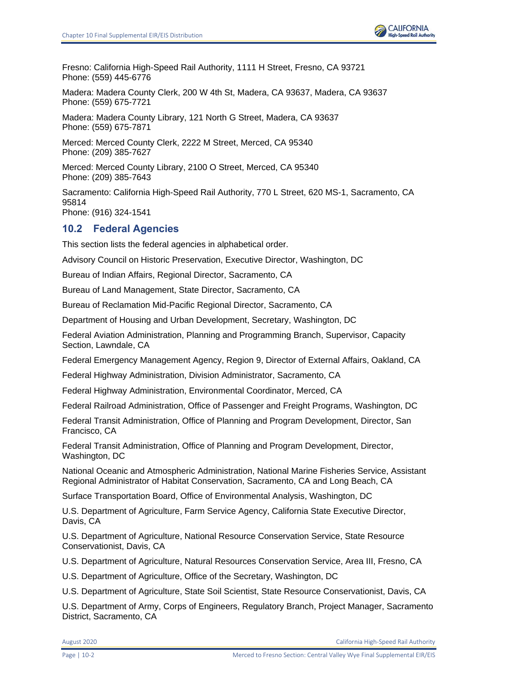Fresno: California High-Speed Rail Authority, 1111 H Street, Fresno, CA 93721 Phone: (559) 445-6776

Madera: Madera County Clerk, 200 W 4th St, Madera, CA 93637, Madera, CA 93637 Phone: (559) 675-7721

Madera: Madera County Library, 121 North G Street, Madera, CA 93637 Phone: (559) 675-7871

Merced: Merced County Clerk, 2222 M Street, Merced, CA 95340 Phone: (209) 385-7627

Merced: Merced County Library, 2100 O Street, Merced, CA 95340 Phone: (209) 385-7643

Sacramento: California High-Speed Rail Authority, 770 L Street, 620 MS-1, Sacramento, CA 95814 Phone: (916) 324-1541

# **10.2 Federal Agencies**

This section lists the federal agencies in alphabetical order.

Advisory Council on Historic Preservation, Executive Director, Washington, DC

Bureau of Indian Affairs, Regional Director, Sacramento, CA

Bureau of Land Management, State Director, Sacramento, CA

Bureau of Reclamation Mid-Pacific Regional Director, Sacramento, CA

Department of Housing and Urban Development, Secretary, Washington, DC

Federal Aviation Administration, Planning and Programming Branch, Supervisor, Capacity Section, Lawndale, CA

Federal Emergency Management Agency, Region 9, Director of External Affairs, Oakland, CA

Federal Highway Administration, Division Administrator, Sacramento, CA

Federal Highway Administration, Environmental Coordinator, Merced, CA

Federal Railroad Administration, Office of Passenger and Freight Programs, Washington, DC

Federal Transit Administration, Office of Planning and Program Development, Director, San Francisco, CA

Federal Transit Administration, Office of Planning and Program Development, Director, Washington, DC

National Oceanic and Atmospheric Administration, National Marine Fisheries Service, Assistant Regional Administrator of Habitat Conservation, Sacramento, CA and Long Beach, CA

Surface Transportation Board, Office of Environmental Analysis, Washington, DC

U.S. Department of Agriculture, Farm Service Agency, California State Executive Director, Davis, CA

U.S. Department of Agriculture, National Resource Conservation Service, State Resource Conservationist, Davis, CA

U.S. Department of Agriculture, Natural Resources Conservation Service, Area III, Fresno, CA

U.S. Department of Agriculture, Office of the Secretary, Washington, DC

U.S. Department of Agriculture, State Soil Scientist, State Resource Conservationist, Davis, CA

U.S. Department of Army, Corps of Engineers, Regulatory Branch, Project Manager, Sacramento District, Sacramento, CA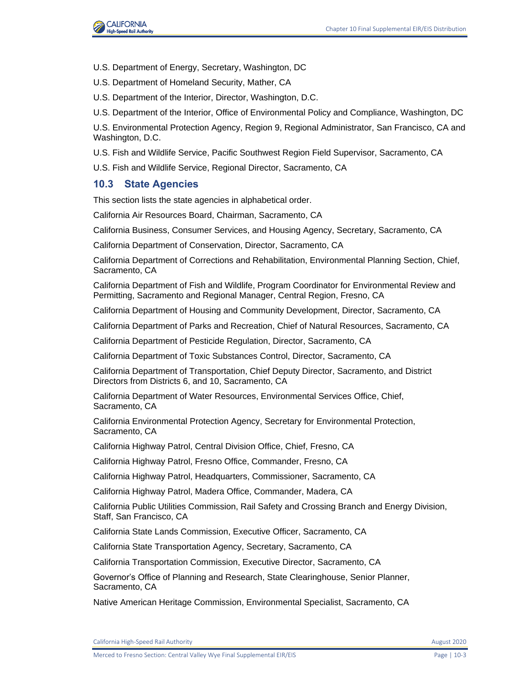

- U.S. Department of Energy, Secretary, Washington, DC
- U.S. Department of Homeland Security, Mather, CA
- U.S. Department of the Interior, Director, Washington, D.C.
- U.S. Department of the Interior, Office of Environmental Policy and Compliance, Washington, DC

U.S. Environmental Protection Agency, Region 9, Regional Administrator, San Francisco, CA and Washington, D.C.

- U.S. Fish and Wildlife Service, Pacific Southwest Region Field Supervisor, Sacramento, CA
- U.S. Fish and Wildlife Service, Regional Director, Sacramento, CA

#### **10.3 State Agencies**

This section lists the state agencies in alphabetical order.

California Air Resources Board, Chairman, Sacramento, CA

California Business, Consumer Services, and Housing Agency, Secretary, Sacramento, CA

California Department of Conservation, Director, Sacramento, CA

California Department of Corrections and Rehabilitation, Environmental Planning Section, Chief, Sacramento, CA

California Department of Fish and Wildlife, Program Coordinator for Environmental Review and Permitting, Sacramento and Regional Manager, Central Region, Fresno, CA

California Department of Housing and Community Development, Director, Sacramento, CA

California Department of Parks and Recreation, Chief of Natural Resources, Sacramento, CA

California Department of Pesticide Regulation, Director, Sacramento, CA

California Department of Toxic Substances Control, Director, Sacramento, CA

California Department of Transportation, Chief Deputy Director, Sacramento, and District Directors from Districts 6, and 10, Sacramento, CA

California Department of Water Resources, Environmental Services Office, Chief, Sacramento, CA

California Environmental Protection Agency, Secretary for Environmental Protection, Sacramento, CA

California Highway Patrol, Central Division Office, Chief, Fresno, CA

California Highway Patrol, Fresno Office, Commander, Fresno, CA

California Highway Patrol, Headquarters, Commissioner, Sacramento, CA

California Highway Patrol, Madera Office, Commander, Madera, CA

California Public Utilities Commission, Rail Safety and Crossing Branch and Energy Division, Staff, San Francisco, CA

California State Lands Commission, Executive Officer, Sacramento, CA

California State Transportation Agency, Secretary, Sacramento, CA

California Transportation Commission, Executive Director, Sacramento, CA

Governor's Office of Planning and Research, State Clearinghouse, Senior Planner, Sacramento, CA

Native American Heritage Commission, Environmental Specialist, Sacramento, CA

California High-Speed Rail Authority **August 2020** 2020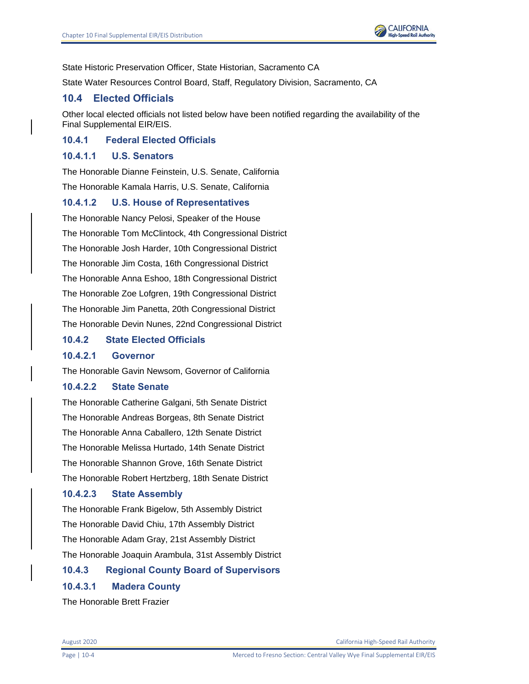State Historic Preservation Officer, State Historian, Sacramento CA

State Water Resources Control Board, Staff, Regulatory Division, Sacramento, CA

## **10.4 Elected Officials**

Other local elected officials not listed below have been notified regarding the availability of the Final Supplemental EIR/EIS.

**10.4.1 Federal Elected Officials**

## **10.4.1.1 U.S. Senators**

The Honorable Dianne Feinstein, U.S. Senate, California The Honorable Kamala Harris, U.S. Senate, California

## **10.4.1.2 U.S. House of Representatives**

The Honorable Nancy Pelosi, Speaker of the House The Honorable Tom McClintock, 4th Congressional District The Honorable Josh Harder, 10th Congressional District The Honorable Jim Costa, 16th Congressional District The Honorable Anna Eshoo, 18th Congressional District The Honorable Zoe Lofgren, 19th Congressional District The Honorable Jim Panetta, 20th Congressional District The Honorable Devin Nunes, 22nd Congressional District

### **10.4.2 State Elected Officials**

## **10.4.2.1 Governor**

The Honorable Gavin Newsom, Governor of California

#### **10.4.2.2 State Senate**

The Honorable Catherine Galgani, 5th Senate District The Honorable Andreas Borgeas, 8th Senate District The Honorable Anna Caballero, 12th Senate District The Honorable Melissa Hurtado, 14th Senate District The Honorable Shannon Grove, 16th Senate District The Honorable Robert Hertzberg, 18th Senate District

## **10.4.2.3 State Assembly**

The Honorable Frank Bigelow, 5th Assembly District The Honorable David Chiu, 17th Assembly District The Honorable Adam Gray, 21st Assembly District The Honorable Joaquin Arambula, 31st Assembly District

# **10.4.3 Regional County Board of Supervisors**

## **10.4.3.1 Madera County**

The Honorable Brett Frazier

August 2020 California High-Speed Rail Authority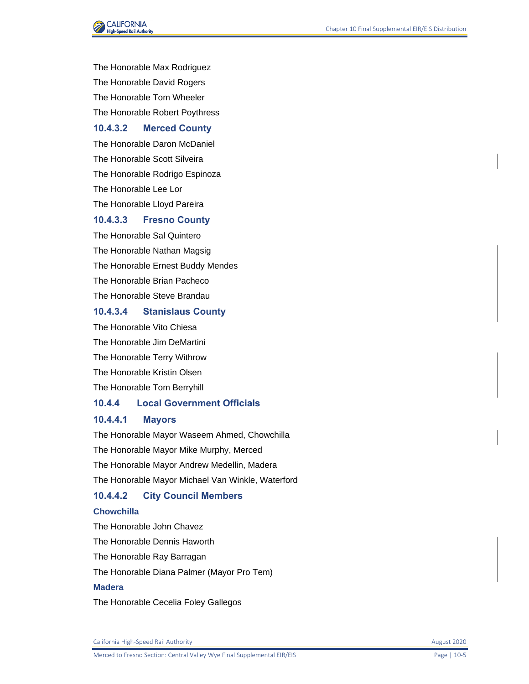

The Honorable Max Rodriguez The Honorable David Rogers The Honorable Tom Wheeler

The Honorable Robert Poythress

### **10.4.3.2 Merced County**

The Honorable Daron McDaniel The Honorable Scott Silveira The Honorable Rodrigo Espinoza The Honorable Lee Lor The Honorable Lloyd Pareira

#### **10.4.3.3 Fresno County**

The Honorable Sal Quintero The Honorable Nathan Magsig The Honorable Ernest Buddy Mendes The Honorable Brian Pacheco The Honorable Steve Brandau

# **10.4.3.4 Stanislaus County**

The Honorable Vito Chiesa The Honorable Jim DeMartini The Honorable Terry Withrow The Honorable Kristin Olsen The Honorable Tom Berryhill

### **10.4.4 Local Government Officials**

#### **10.4.4.1 Mayors**

The Honorable Mayor Waseem Ahmed, Chowchilla The Honorable Mayor Mike Murphy, Merced The Honorable Mayor Andrew Medellin, Madera The Honorable Mayor Michael Van Winkle, Waterford

# **10.4.4.2 City Council Members**

#### **Chowchilla**

The Honorable John Chavez The Honorable Dennis Haworth The Honorable Ray Barragan The Honorable Diana Palmer (Mayor Pro Tem) **Madera** The Honorable Cecelia Foley Gallegos

California High-Speed Rail Authority **August 2020 August 2020**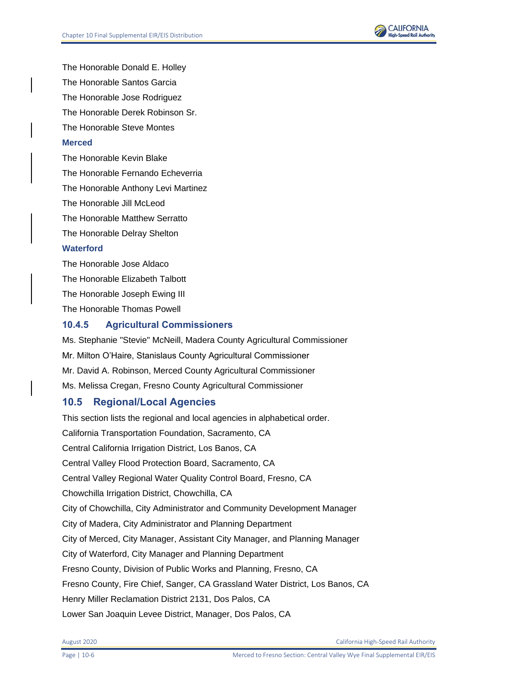

The Honorable Donald E. Holley The Honorable Santos Garcia The Honorable Jose Rodriguez The Honorable Derek Robinson Sr. The Honorable Steve Montes **Merced**

The Honorable Kevin Blake The Honorable Fernando Echeverria The Honorable Anthony Levi Martinez The Honorable Jill McLeod The Honorable Matthew Serratto The Honorable Delray Shelton **Waterford** The Honorable Jose Aldaco

The Honorable Elizabeth Talbott The Honorable Joseph Ewing III The Honorable Thomas Powell

## **10.4.5 Agricultural Commissioners**

Ms. Stephanie "Stevie" McNeill, Madera County Agricultural Commissioner Mr. Milton O'Haire, Stanislaus County Agricultural Commissioner Mr. David A. Robinson, Merced County Agricultural Commissioner Ms. Melissa Cregan, Fresno County Agricultural Commissioner

# **10.5 Regional/Local Agencies**

This section lists the regional and local agencies in alphabetical order. California Transportation Foundation, Sacramento, CA Central California Irrigation District, Los Banos, CA Central Valley Flood Protection Board, Sacramento, CA Central Valley Regional Water Quality Control Board, Fresno, CA Chowchilla Irrigation District, Chowchilla, CA City of Chowchilla, City Administrator and Community Development Manager City of Madera, City Administrator and Planning Department City of Merced, City Manager, Assistant City Manager, and Planning Manager City of Waterford, City Manager and Planning Department Fresno County, Division of Public Works and Planning, Fresno, CA Fresno County, Fire Chief, Sanger, CA Grassland Water District, Los Banos, CA Henry Miller Reclamation District 2131, Dos Palos, CA Lower San Joaquin Levee District, Manager, Dos Palos, CA

August 2020 California High-Speed Rail Authority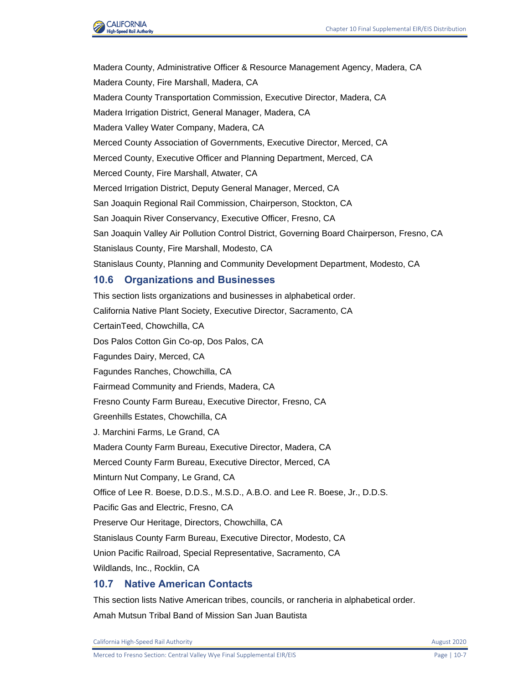

Madera County, Administrative Officer & Resource Management Agency, Madera, CA Madera County, Fire Marshall, Madera, CA Madera County Transportation Commission, Executive Director, Madera, CA Madera Irrigation District, General Manager, Madera, CA Madera Valley Water Company, Madera, CA Merced County Association of Governments, Executive Director, Merced, CA Merced County, Executive Officer and Planning Department, Merced, CA Merced County, Fire Marshall, Atwater, CA Merced Irrigation District, Deputy General Manager, Merced, CA San Joaquin Regional Rail Commission, Chairperson, Stockton, CA San Joaquin River Conservancy, Executive Officer, Fresno, CA San Joaquin Valley Air Pollution Control District, Governing Board Chairperson, Fresno, CA Stanislaus County, Fire Marshall, Modesto, CA Stanislaus County, Planning and Community Development Department, Modesto, CA

## **10.6 Organizations and Businesses**

This section lists organizations and businesses in alphabetical order. California Native Plant Society, Executive Director, Sacramento, CA CertainTeed, Chowchilla, CA Dos Palos Cotton Gin Co-op, Dos Palos, CA Fagundes Dairy, Merced, CA Fagundes Ranches, Chowchilla, CA Fairmead Community and Friends, Madera, CA Fresno County Farm Bureau, Executive Director, Fresno, CA Greenhills Estates, Chowchilla, CA J. Marchini Farms, Le Grand, CA Madera County Farm Bureau, Executive Director, Madera, CA Merced County Farm Bureau, Executive Director, Merced, CA Minturn Nut Company, Le Grand, CA Office of Lee R. Boese, D.D.S., M.S.D., A.B.O. and Lee R. Boese, Jr., D.D.S. Pacific Gas and Electric, Fresno, CA Preserve Our Heritage, Directors, Chowchilla, CA Stanislaus County Farm Bureau, Executive Director, Modesto, CA Union Pacific Railroad, Special Representative, Sacramento, CA Wildlands, Inc., Rocklin, CA

## **10.7 Native American Contacts**

This section lists Native American tribes, councils, or rancheria in alphabetical order. Amah Mutsun Tribal Band of Mission San Juan Bautista

California High-Speed Rail Authority **August 2020** 2020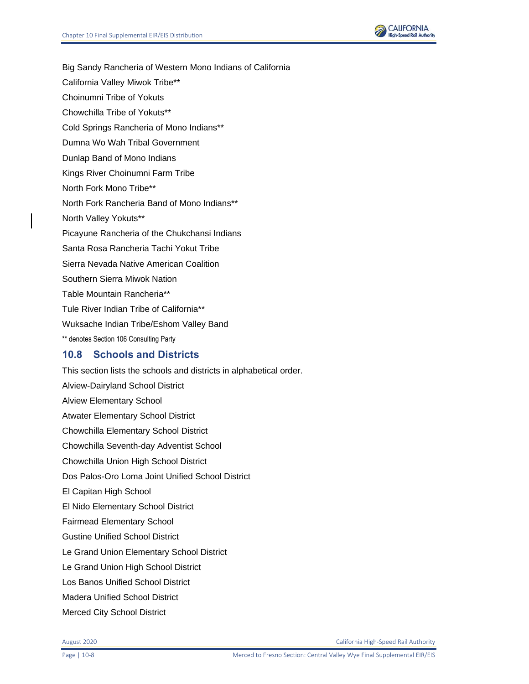

- Big Sandy Rancheria of Western Mono Indians of California
- California Valley Miwok Tribe\*\*
- Choinumni Tribe of Yokuts
- Chowchilla Tribe of Yokuts\*\*
- Cold Springs Rancheria of Mono Indians\*\*
- Dumna Wo Wah Tribal Government
- Dunlap Band of Mono Indians
- Kings River Choinumni Farm Tribe
- North Fork Mono Tribe\*\*
- North Fork Rancheria Band of Mono Indians\*\*
- North Valley Yokuts\*\*
- Picayune Rancheria of the Chukchansi Indians
- Santa Rosa Rancheria Tachi Yokut Tribe
- Sierra Nevada Native American Coalition
- Southern Sierra Miwok Nation
- Table Mountain Rancheria\*\*
- Tule River Indian Tribe of California\*\*
- Wuksache Indian Tribe/Eshom Valley Band
- \*\* denotes Section 106 Consulting Party

# **10.8 Schools and Districts**

This section lists the schools and districts in alphabetical order. Alview-Dairyland School District Alview Elementary School Atwater Elementary School District Chowchilla Elementary School District Chowchilla Seventh-day Adventist School Chowchilla Union High School District Dos Palos-Oro Loma Joint Unified School District El Capitan High School El Nido Elementary School District Fairmead Elementary School Gustine Unified School District Le Grand Union Elementary School District Le Grand Union High School District Los Banos Unified School District Madera Unified School District Merced City School District

August 2020 California High-Speed Rail Authority